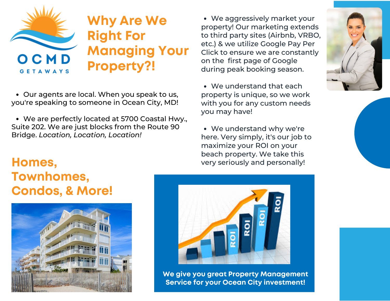

Our agents are local. When you speak to us, you're speaking to someone in Ocean City, MD!

We are perfectly located at 5700 Coastal Hwy., Suite 202. We are just blocks from the Route 90 Bridge. *Location, Location, Location!*

## **Homes, Townhomes, Condos, & More!**



We aggressively market your property! Our marketing extends to third party sites (Airbnb, VRBO, etc.) & we utilize Google Pay Per Click to ensure we are constantly on the first page of Google during peak booking season.

We understand that each property is unique, so we work with you for any custom needs you may have!

We understand why we're here. Very simply, it's our job to maximize your ROI on your beach property. We take this very seriously and personally!



**We give you great Property Management Service for your Ocean City investment!**

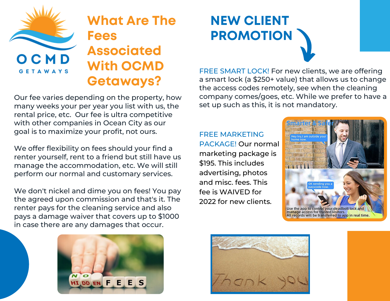

## **What Are The Fees Associated With OCMD Getaways?**

Our fee varies depending on the property, how many weeks your per year you list with us, the rental price, etc. Our fee is ultra competitive with other companies in Ocean City as our goal is to maximize your profit, not ours.

We offer flexibility on fees should your find a renter yourself, rent to a friend but still have us manage the accommodation, etc. We will still perform our normal and customary services.

We don't nickel and dime you on fees! You pay the agreed upon commission and that's it. The renter pays for the cleaning service and also pays a damage waiver that covers up to \$1000 in case there are any damages that occur.



FREE SMART LOCK! For new clients, we are offering a smart lock (a \$250+ value) that allows us to change the access codes remotely, see when the cleaning company comes/goes, etc. While we prefer to have a set up such as this, it is not mandatory.

FREE MARKETING PACKAGE! Our normal marketing package is \$195. This includes advertising, photos and misc. fees. This fee is WAIVED for 2022 for new clients.